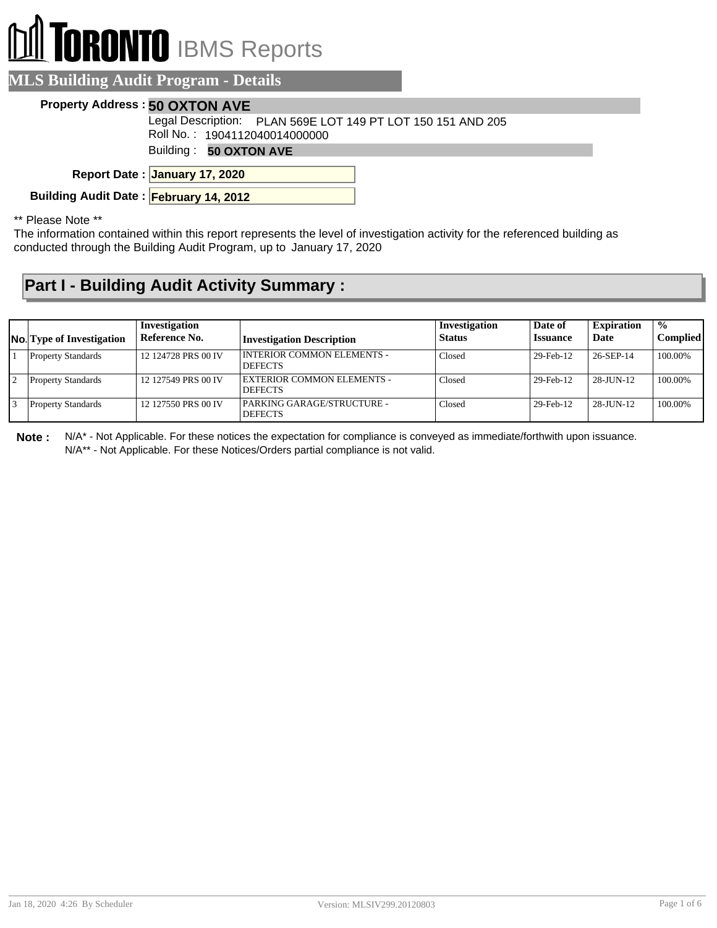# **RONTO** IBMS Reports

#### **MLS Building Audit Program - Details**

#### **Property Address : 50 OXTON AVE**

Legal Description: PLAN 569E LOT 149 PT LOT 150 151 AND 205

Roll No. : 1904112040014000000

Building : **50 OXTON AVE**

**January 17, 2020 Report Date :**

**Building Audit Date : February 14, 2012**

\*\* Please Note \*\*

The information contained within this report represents the level of investigation activity for the referenced building as conducted through the Building Audit Program, up to January 17, 2020

### **Part I - Building Audit Activity Summary :**

| <b>No.</b> Type of Investigation | Investigation<br>Reference No. | <b>Investigation Description</b>               | Investigation<br><b>Status</b> | Date of<br><b>Issuance</b> | <b>Expiration</b><br>Date | $\frac{1}{2}$<br><b>Complied</b> |
|----------------------------------|--------------------------------|------------------------------------------------|--------------------------------|----------------------------|---------------------------|----------------------------------|
| <b>Property Standards</b>        | 12 124728 PRS 00 IV            | I INTERIOR COMMON ELEMENTS -<br><b>DEFECTS</b> | Closed                         | 29-Feb-12                  | 26-SEP-14                 | 100.00%                          |
| <b>Property Standards</b>        | 12 127549 PRS 00 IV            | EXTERIOR COMMON ELEMENTS -<br><b>DEFECTS</b>   | Closed                         | 29-Feb-12                  | 28-JUN-12                 | 100.00%                          |
| <b>Property Standards</b>        | 12 127550 PRS 00 IV            | PARKING GARAGE/STRUCTURE -<br><b>DEFECTS</b>   | Closed                         | 29-Feb-12                  | $28 - J$ UN-12            | 100.00%                          |

**Note :** N/A\* - Not Applicable. For these notices the expectation for compliance is conveyed as immediate/forthwith upon issuance. N/A\*\* - Not Applicable. For these Notices/Orders partial compliance is not valid.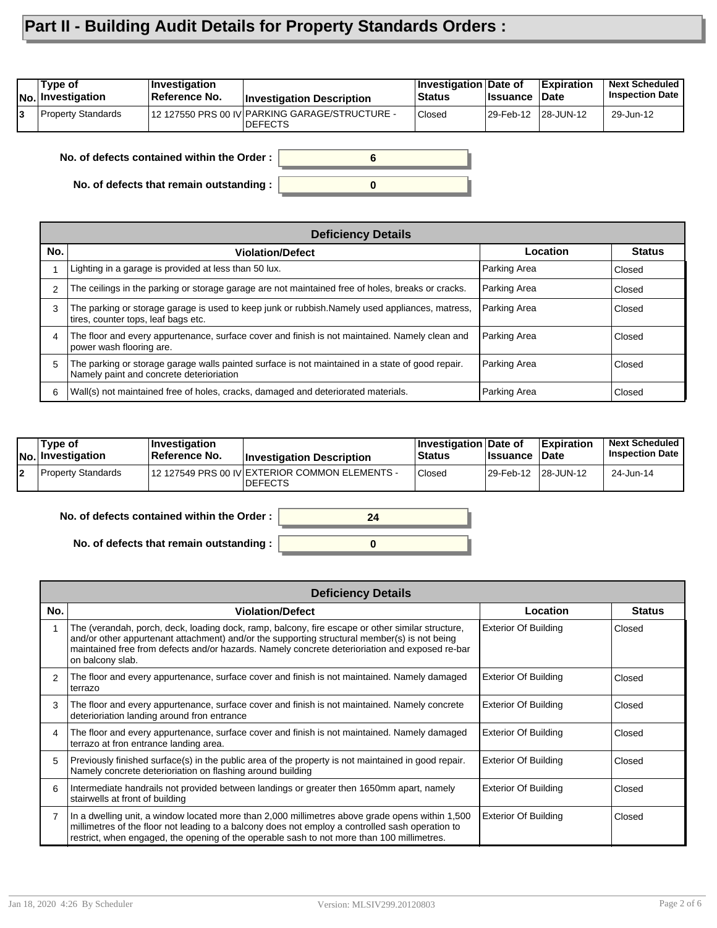## **Part II - Building Audit Details for Property Standards Orders :**

| <b>INo.</b> Investigation | Reference No. | <b>Investigation Description</b>                                 | <b>Status</b> | <b>∣Issuance</b>    | ∣Date | <b>Inspection Date</b> |
|---------------------------|---------------|------------------------------------------------------------------|---------------|---------------------|-------|------------------------|
| Property Standards        |               | 12 127550 PRS 00 IV PARKING GARAGE/STRUCTURE -<br><b>DEFECTS</b> | Closed        | 29-Feb-12 28-JUN-12 |       | 29-Jun-12              |

**No. of defects contained within the Order :**

**No. of defects that remain outstanding :**

|     | <b>Deficiency Details</b>                                                                                                                    |              |               |  |  |  |  |
|-----|----------------------------------------------------------------------------------------------------------------------------------------------|--------------|---------------|--|--|--|--|
| No. | <b>Violation/Defect</b>                                                                                                                      | Location     | <b>Status</b> |  |  |  |  |
|     | Lighting in a garage is provided at less than 50 lux.                                                                                        | Parking Area | Closed        |  |  |  |  |
| 2   | The ceilings in the parking or storage garage are not maintained free of holes, breaks or cracks.                                            | Parking Area | Closed        |  |  |  |  |
| 3   | The parking or storage garage is used to keep junk or rubbish. Namely used appliances, matress,<br>tires, counter tops, leaf bags etc.       | Parking Area | Closed        |  |  |  |  |
| 4   | The floor and every appurtenance, surface cover and finish is not maintained. Namely clean and<br>power wash flooring are.                   | Parking Area | Closed        |  |  |  |  |
| 5   | The parking or storage garage walls painted surface is not maintained in a state of good repair.<br>Namely paint and concrete deterioriation | Parking Area | Closed        |  |  |  |  |
| 6   | Wall(s) not maintained free of holes, cracks, damaged and deteriorated materials.                                                            | Parking Area | Closed        |  |  |  |  |

**0**

**6**

| Type of<br> No. Investigation | ∣Investiɑation<br><b>Reference No.</b> | <b>Investigation Description</b>                                 | <b>Investigation Date of</b><br><b>Status</b> | <b>Ilssuance Date</b> | <b>Expiration</b> | <b>Next Scheduled</b><br><b>Inspection Date</b> |
|-------------------------------|----------------------------------------|------------------------------------------------------------------|-----------------------------------------------|-----------------------|-------------------|-------------------------------------------------|
| Property Standards            |                                        | 12 127549 PRS 00 IV EXTERIOR COMMON ELEMENTS -<br><b>DEFECTS</b> | Closed                                        | 29-Feb-12 28-JUN-12   |                   | 24-Jun-14                                       |

**0**

**24**

**No. of defects contained within the Order :**

**No. of defects that remain outstanding :**

|     | <b>Deficiency Details</b>                                                                                                                                                                                                                                                                                              |                             |               |  |  |  |  |  |
|-----|------------------------------------------------------------------------------------------------------------------------------------------------------------------------------------------------------------------------------------------------------------------------------------------------------------------------|-----------------------------|---------------|--|--|--|--|--|
| No. | <b>Violation/Defect</b>                                                                                                                                                                                                                                                                                                | Location                    | <b>Status</b> |  |  |  |  |  |
|     | The (verandah, porch, deck, loading dock, ramp, balcony, fire escape or other similar structure,<br>and/or other appurtenant attachment) and/or the supporting structural member(s) is not being<br>maintained free from defects and/or hazards. Namely concrete deterioriation and exposed re-bar<br>on balcony slab. | <b>Exterior Of Building</b> | Closed        |  |  |  |  |  |
| 2   | The floor and every appurtenance, surface cover and finish is not maintained. Namely damaged<br>terrazo                                                                                                                                                                                                                | <b>Exterior Of Building</b> | Closed        |  |  |  |  |  |
| 3   | The floor and every appurtenance, surface cover and finish is not maintained. Namely concrete<br>deterioriation landing around fron entrance                                                                                                                                                                           | <b>Exterior Of Building</b> | Closed        |  |  |  |  |  |
| 4   | The floor and every appurtenance, surface cover and finish is not maintained. Namely damaged<br>terrazo at fron entrance landing area.                                                                                                                                                                                 | <b>Exterior Of Building</b> | Closed        |  |  |  |  |  |
| 5   | Previously finished surface(s) in the public area of the property is not maintained in good repair.<br>Namely concrete deterioriation on flashing around building                                                                                                                                                      | <b>Exterior Of Building</b> | Closed        |  |  |  |  |  |
| 6   | Intermediate handrails not provided between landings or greater then 1650mm apart, namely<br>stairwells at front of building                                                                                                                                                                                           | <b>Exterior Of Building</b> | Closed        |  |  |  |  |  |
|     | In a dwelling unit, a window located more than 2,000 millimetres above grade opens within 1,500<br>millimetres of the floor not leading to a balcony does not employ a controlled sash operation to<br>restrict, when engaged, the opening of the operable sash to not more than 100 millimetres.                      | <b>Exterior Of Building</b> | Closed        |  |  |  |  |  |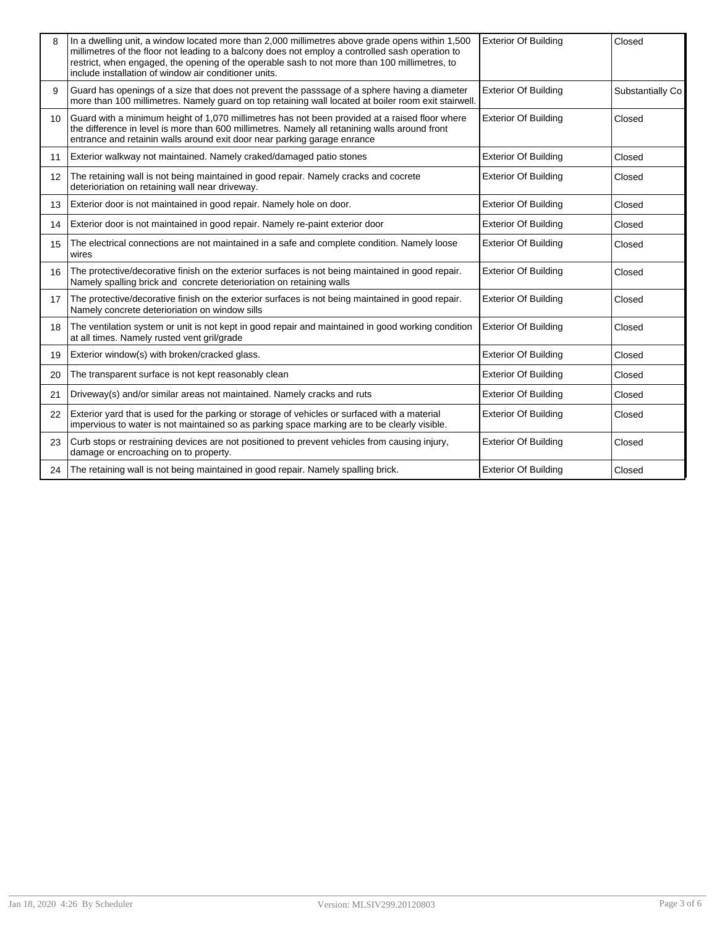|    | In a dwelling unit, a window located more than 2,000 millimetres above grade opens within 1,500<br>millimetres of the floor not leading to a balcony does not employ a controlled sash operation to<br>restrict, when engaged, the opening of the operable sash to not more than 100 millimetres, to<br>include installation of window air conditioner units. | <b>Exterior Of Building</b> | Closed           |
|----|---------------------------------------------------------------------------------------------------------------------------------------------------------------------------------------------------------------------------------------------------------------------------------------------------------------------------------------------------------------|-----------------------------|------------------|
| 9  | Guard has openings of a size that does not prevent the passsage of a sphere having a diameter<br>more than 100 millimetres. Namely guard on top retaining wall located at boiler room exit stairwell.                                                                                                                                                         | <b>Exterior Of Building</b> | Substantially Co |
| 10 | Guard with a minimum height of 1,070 millimetres has not been provided at a raised floor where<br>the difference in level is more than 600 millimetres. Namely all retanining walls around front<br>entrance and retainin walls around exit door near parking garage enrance                                                                                  | <b>Exterior Of Building</b> | Closed           |
| 11 | Exterior walkway not maintained. Namely craked/damaged patio stones                                                                                                                                                                                                                                                                                           | <b>Exterior Of Building</b> | Closed           |
| 12 | The retaining wall is not being maintained in good repair. Namely cracks and cocrete<br>deterioriation on retaining wall near driveway.                                                                                                                                                                                                                       | <b>Exterior Of Building</b> | Closed           |
| 13 | Exterior door is not maintained in good repair. Namely hole on door.                                                                                                                                                                                                                                                                                          | <b>Exterior Of Building</b> | Closed           |
| 14 | Exterior door is not maintained in good repair. Namely re-paint exterior door                                                                                                                                                                                                                                                                                 | <b>Exterior Of Building</b> | Closed           |
| 15 | The electrical connections are not maintained in a safe and complete condition. Namely loose<br>wires                                                                                                                                                                                                                                                         | <b>Exterior Of Building</b> | Closed           |
| 16 | The protective/decorative finish on the exterior surfaces is not being maintained in good repair.<br>Namely spalling brick and concrete deterioriation on retaining walls                                                                                                                                                                                     | <b>Exterior Of Building</b> | Closed           |
| 17 | The protective/decorative finish on the exterior surfaces is not being maintained in good repair.<br>Namely concrete deterioriation on window sills                                                                                                                                                                                                           | <b>Exterior Of Building</b> | Closed           |
| 18 | The ventilation system or unit is not kept in good repair and maintained in good working condition<br>at all times. Namely rusted vent gril/grade                                                                                                                                                                                                             | <b>Exterior Of Building</b> | Closed           |
| 19 | Exterior window(s) with broken/cracked glass.                                                                                                                                                                                                                                                                                                                 | <b>Exterior Of Building</b> | Closed           |
| 20 | The transparent surface is not kept reasonably clean                                                                                                                                                                                                                                                                                                          | <b>Exterior Of Building</b> | Closed           |
| 21 | Driveway(s) and/or similar areas not maintained. Namely cracks and ruts                                                                                                                                                                                                                                                                                       | <b>Exterior Of Building</b> | Closed           |
| 22 | Exterior yard that is used for the parking or storage of vehicles or surfaced with a material<br>impervious to water is not maintained so as parking space marking are to be clearly visible.                                                                                                                                                                 | <b>Exterior Of Building</b> | Closed           |
| 23 | Curb stops or restraining devices are not positioned to prevent vehicles from causing injury,<br>damage or encroaching on to property.                                                                                                                                                                                                                        | <b>Exterior Of Building</b> | Closed           |
| 24 | The retaining wall is not being maintained in good repair. Namely spalling brick.                                                                                                                                                                                                                                                                             | <b>Exterior Of Building</b> | Closed           |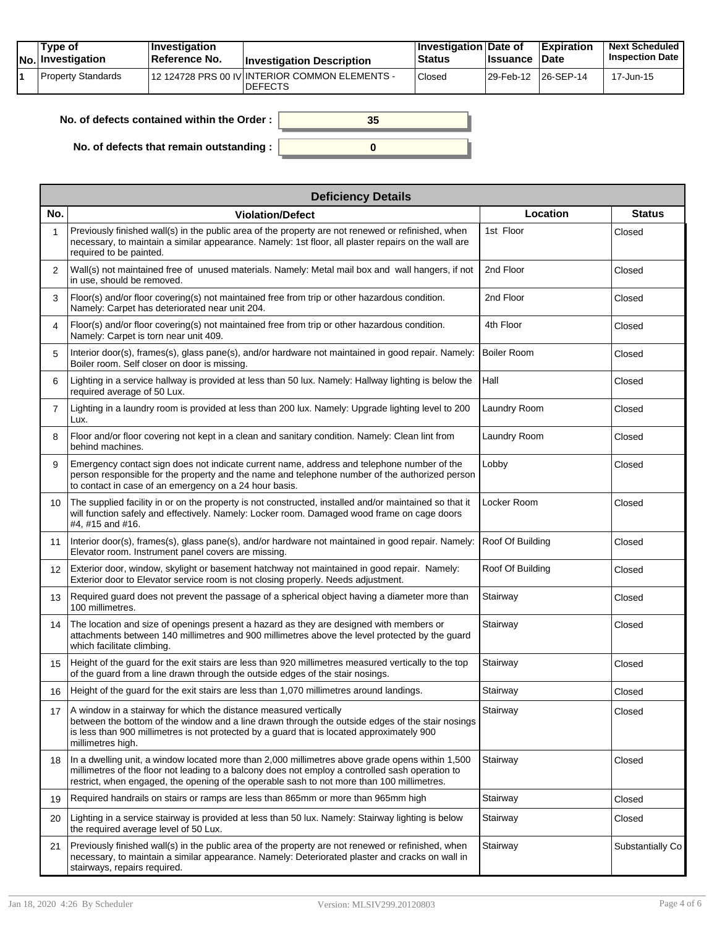| Type of<br>No. Investigation | <b>Investigation</b><br>⊺Reference No. | <b>Investigation Description</b>                                 | ∣Investigation Date of<br><b>Status</b> | <b>Issuance</b>       | <b>Expiration</b><br><b>Date</b> | <b>Next Scheduled</b><br><b>Inspection Date</b> |
|------------------------------|----------------------------------------|------------------------------------------------------------------|-----------------------------------------|-----------------------|----------------------------------|-------------------------------------------------|
| Property Standards           |                                        | 12 124728 PRS 00 IV INTERIOR COMMON ELEMENTS -<br><b>DEFECTS</b> | <sup>'</sup> Closed                     | 129-Feb-12 126-SEP-14 |                                  | 17-Jun-15                                       |

| No. of defects contained within the Order:       | 35 |
|--------------------------------------------------|----|
| No. of defects that remain outstanding : $\vert$ |    |

| <b>Deficiency Details</b> |                                                                                                                                                                                                                                                                                                   |                    |                  |  |  |  |  |  |
|---------------------------|---------------------------------------------------------------------------------------------------------------------------------------------------------------------------------------------------------------------------------------------------------------------------------------------------|--------------------|------------------|--|--|--|--|--|
| No.                       | <b>Violation/Defect</b>                                                                                                                                                                                                                                                                           | Location           | <b>Status</b>    |  |  |  |  |  |
| 1                         | Previously finished wall(s) in the public area of the property are not renewed or refinished, when<br>necessary, to maintain a similar appearance. Namely: 1st floor, all plaster repairs on the wall are<br>required to be painted.                                                              | 1st Floor          | Closed           |  |  |  |  |  |
| 2                         | Wall(s) not maintained free of unused materials. Namely: Metal mail box and wall hangers, if not<br>in use, should be removed.                                                                                                                                                                    | 2nd Floor          | Closed           |  |  |  |  |  |
| 3                         | Floor(s) and/or floor covering(s) not maintained free from trip or other hazardous condition.<br>Namely: Carpet has deteriorated near unit 204.                                                                                                                                                   | 2nd Floor          | Closed           |  |  |  |  |  |
| 4                         | Floor(s) and/or floor covering(s) not maintained free from trip or other hazardous condition.<br>Namely: Carpet is torn near unit 409.                                                                                                                                                            | 4th Floor          | Closed           |  |  |  |  |  |
| 5                         | Interior door(s), frames(s), glass pane(s), and/or hardware not maintained in good repair. Namely:<br>Boiler room. Self closer on door is missing.                                                                                                                                                | <b>Boiler Room</b> | Closed           |  |  |  |  |  |
| 6                         | Lighting in a service hallway is provided at less than 50 lux. Namely: Hallway lighting is below the<br>required average of 50 Lux.                                                                                                                                                               | Hall               | Closed           |  |  |  |  |  |
| 7                         | Lighting in a laundry room is provided at less than 200 lux. Namely: Upgrade lighting level to 200<br>Lux.                                                                                                                                                                                        | Laundry Room       | Closed           |  |  |  |  |  |
| 8                         | Floor and/or floor covering not kept in a clean and sanitary condition. Namely: Clean lint from<br>behind machines.                                                                                                                                                                               | Laundry Room       | Closed           |  |  |  |  |  |
| 9                         | Emergency contact sign does not indicate current name, address and telephone number of the<br>person responsible for the property and the name and telephone number of the authorized person<br>to contact in case of an emergency on a 24 hour basis.                                            | Lobby              | Closed           |  |  |  |  |  |
| 10                        | The supplied facility in or on the property is not constructed, installed and/or maintained so that it<br>will function safely and effectively. Namely: Locker room. Damaged wood frame on cage doors<br>#4, #15 and #16.                                                                         | Locker Room        | Closed           |  |  |  |  |  |
| 11                        | Interior door(s), frames(s), glass pane(s), and/or hardware not maintained in good repair. Namely:<br>Elevator room. Instrument panel covers are missing.                                                                                                                                         | Roof Of Building   | Closed           |  |  |  |  |  |
| 12 <sup>2</sup>           | Exterior door, window, skylight or basement hatchway not maintained in good repair. Namely:<br>Exterior door to Elevator service room is not closing properly. Needs adjustment.                                                                                                                  | Roof Of Building   | Closed           |  |  |  |  |  |
| 13                        | Required guard does not prevent the passage of a spherical object having a diameter more than<br>100 millimetres.                                                                                                                                                                                 | Stairway           | Closed           |  |  |  |  |  |
| 14                        | The location and size of openings present a hazard as they are designed with members or<br>attachments between 140 millimetres and 900 millimetres above the level protected by the guard<br>which facilitate climbing.                                                                           | Stairway           | Closed           |  |  |  |  |  |
| 15                        | Height of the guard for the exit stairs are less than 920 millimetres measured vertically to the top<br>of the guard from a line drawn through the outside edges of the stair nosings.                                                                                                            | Stairway           | Closed           |  |  |  |  |  |
| 16                        | Height of the guard for the exit stairs are less than 1,070 millimetres around landings.                                                                                                                                                                                                          | Stairway           | Closed           |  |  |  |  |  |
| 17                        | A window in a stairway for which the distance measured vertically<br>between the bottom of the window and a line drawn through the outside edges of the stair nosings<br>is less than 900 millimetres is not protected by a quard that is located approximately 900<br>millimetres high.          | Stairway           | Closed           |  |  |  |  |  |
| 18                        | In a dwelling unit, a window located more than 2,000 millimetres above grade opens within 1,500<br>millimetres of the floor not leading to a balcony does not employ a controlled sash operation to<br>restrict, when engaged, the opening of the operable sash to not more than 100 millimetres. | Stairway           | Closed           |  |  |  |  |  |
| 19                        | Required handrails on stairs or ramps are less than 865mm or more than 965mm high                                                                                                                                                                                                                 | Stairway           | Closed           |  |  |  |  |  |
| 20                        | Lighting in a service stairway is provided at less than 50 lux. Namely: Stairway lighting is below<br>the required average level of 50 Lux.                                                                                                                                                       | Stairway           | Closed           |  |  |  |  |  |
| 21                        | Previously finished wall(s) in the public area of the property are not renewed or refinished, when<br>necessary, to maintain a similar appearance. Namely: Deteriorated plaster and cracks on wall in<br>stairways, repairs required.                                                             | Stairway           | Substantially Co |  |  |  |  |  |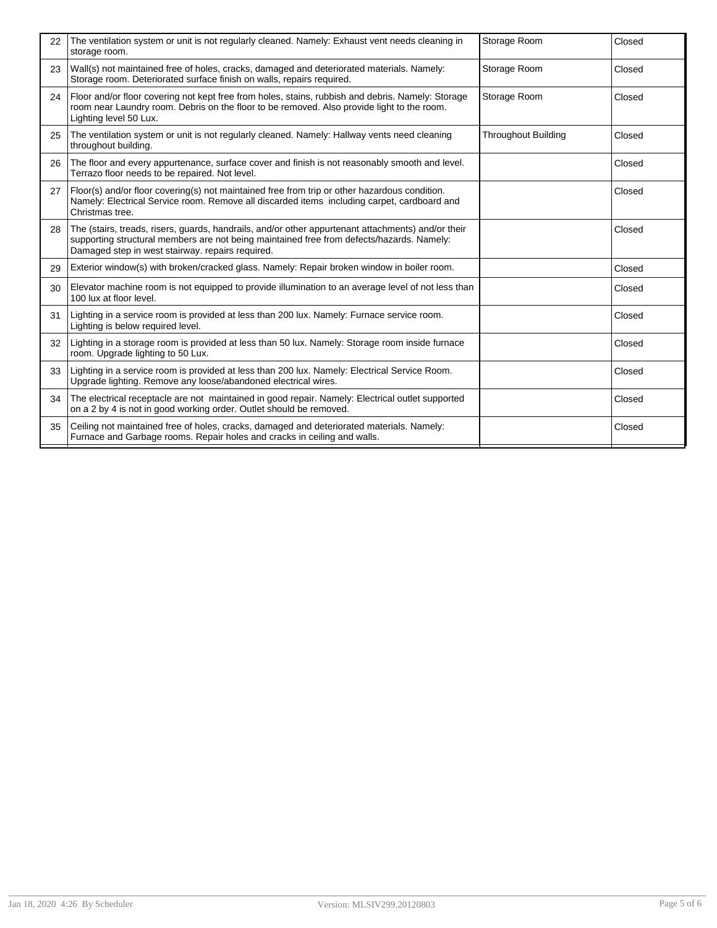| 22 | The ventilation system or unit is not regularly cleaned. Namely: Exhaust vent needs cleaning in<br>storage room.                                                                                                                                    | Storage Room               | Closed |
|----|-----------------------------------------------------------------------------------------------------------------------------------------------------------------------------------------------------------------------------------------------------|----------------------------|--------|
| 23 | Wall(s) not maintained free of holes, cracks, damaged and deteriorated materials. Namely:<br>Storage room. Deteriorated surface finish on walls, repairs required.                                                                                  | Storage Room               | Closed |
| 24 | Floor and/or floor covering not kept free from holes, stains, rubbish and debris. Namely: Storage<br>room near Laundry room. Debris on the floor to be removed. Also provide light to the room.<br>Lighting level 50 Lux.                           | Storage Room               | Closed |
| 25 | The ventilation system or unit is not regularly cleaned. Namely: Hallway vents need cleaning<br>throughout building.                                                                                                                                | <b>Throughout Building</b> | Closed |
| 26 | The floor and every appurtenance, surface cover and finish is not reasonably smooth and level.<br>Terrazo floor needs to be repaired. Not level.                                                                                                    |                            | Closed |
| 27 | Floor(s) and/or floor covering(s) not maintained free from trip or other hazardous condition.<br>Namely: Electrical Service room. Remove all discarded items including carpet, cardboard and<br>Christmas tree.                                     |                            | Closed |
| 28 | The (stairs, treads, risers, guards, handrails, and/or other appurtenant attachments) and/or their<br>supporting structural members are not being maintained free from defects/hazards. Namely:<br>Damaged step in west stairway, repairs required. |                            | Closed |
| 29 | Exterior window(s) with broken/cracked glass. Namely: Repair broken window in boiler room.                                                                                                                                                          |                            | Closed |
| 30 | Elevator machine room is not equipped to provide illumination to an average level of not less than<br>100 lux at floor level.                                                                                                                       |                            | Closed |
| 31 | Lighting in a service room is provided at less than 200 lux. Namely: Furnace service room.<br>Lighting is below required level.                                                                                                                     |                            | Closed |
| 32 | Lighting in a storage room is provided at less than 50 lux. Namely: Storage room inside furnace<br>room. Upgrade lighting to 50 Lux.                                                                                                                |                            | Closed |
| 33 | Lighting in a service room is provided at less than 200 lux. Namely: Electrical Service Room.<br>Upgrade lighting. Remove any loose/abandoned electrical wires.                                                                                     |                            | Closed |
| 34 | The electrical receptacle are not maintained in good repair. Namely: Electrical outlet supported<br>on a 2 by 4 is not in good working order. Outlet should be removed.                                                                             |                            | Closed |
| 35 | Ceiling not maintained free of holes, cracks, damaged and deteriorated materials. Namely:<br>Furnace and Garbage rooms. Repair holes and cracks in ceiling and walls.                                                                               |                            | Closed |